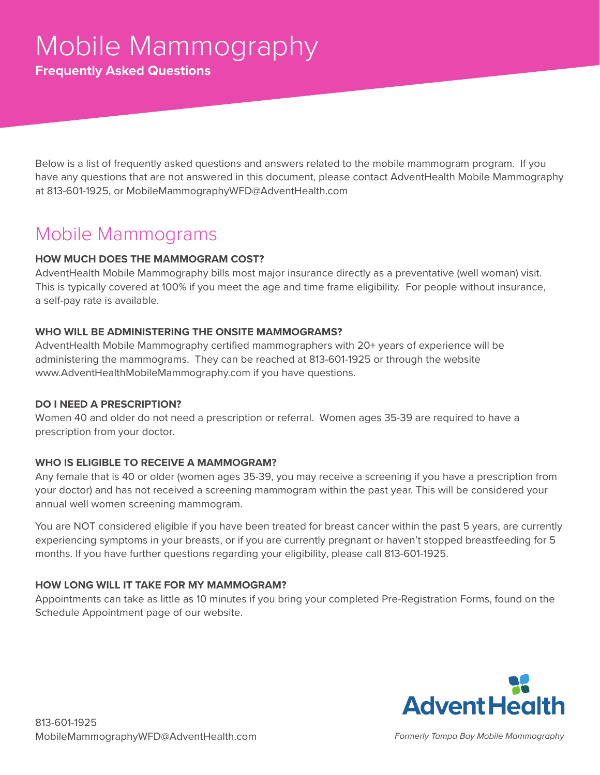**Frequently Asked Questions**

Below is a list of frequently asked questions and answers related to the mobile mammogram program. If you have any questions that are not answered in this document, please contact AdventHealth Mobile Mammography at 813-601-1925, or MobileMammographyWFD@AdventHealth.com

### Mobile Mammograms

#### **HOW MUCH DOES THE MAMMOGRAM COST?**

AdventHealth Mobile Mammography bills most major insurance directly as a preventative (well woman) visit. This is typically covered at 100% if you meet the age and time frame eligibility. For people without insurance, a self-pay rate is available.

#### **WHO WILL BE ADMINISTERING THE ONSITE MAMMOGRAMS?**

AdventHealth Mobile Mammography certified mammographers with 20+ years of experience will be administering the mammograms. They can be reached at 813-601-1925 or through the website www.AdventHealthMobileMammography.com if you have questions.

#### **DO I NEED A PRESCRIPTION?**

Women 40 and older do not need a prescription or referral. Women ages 35-39 are required to have a prescription from your doctor.

#### **WHO IS ELIGIBLE TO RECEIVE A MAMMOGRAM?**

Any female that is 40 or older (women ages 35-39, you may receive a screening if you have a prescription from your doctor) and has not received a screening mammogram within the past year. This will be considered your annual well women screening mammogram.

You are NOT considered eligible if you have been treated for breast cancer within the past 5 years, are currently experiencing symptoms in your breasts, or if you are currently pregnant or haven't stopped breastfeeding for 5 months. If you have further questions regarding your eligibility, please call 813-601-1925.

#### **HOW LONG WILL IT TAKE FOR MY MAMMOGRAM?**

Appointments can take as little as 10 minutes if you bring your completed Pre-Registration Forms, found on the Schedule Appointment page of our website.

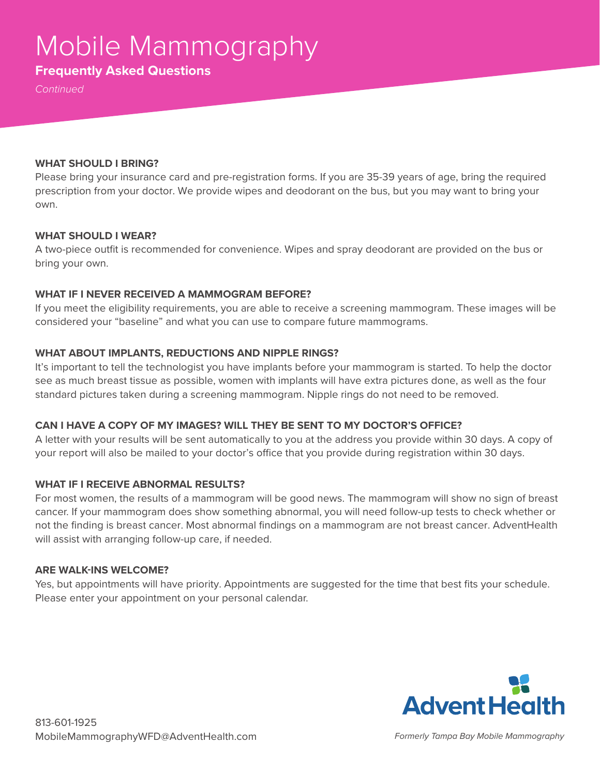# Mobile Mammography

### **Frequently Asked Questions**

*Continued*

#### **WHAT SHOULD I BRING?**

Please bring your insurance card and pre-registration forms. If you are 35-39 years of age, bring the required prescription from your doctor. We provide wipes and deodorant on the bus, but you may want to bring your own.

#### **WHAT SHOULD I WEAR?**

A two-piece outfit is recommended for convenience. Wipes and spray deodorant are provided on the bus or bring your own.

#### **WHAT IF I NEVER RECEIVED A MAMMOGRAM BEFORE?**

If you meet the eligibility requirements, you are able to receive a screening mammogram. These images will be considered your "baseline" and what you can use to compare future mammograms.

#### **WHAT ABOUT IMPLANTS, REDUCTIONS AND NIPPLE RINGS?**

It's important to tell the technologist you have implants before your mammogram is started. To help the doctor see as much breast tissue as possible, women with implants will have extra pictures done, as well as the four standard pictures taken during a screening mammogram. Nipple rings do not need to be removed.

#### **CAN I HAVE A COPY OF MY IMAGES? WILL THEY BE SENT TO MY DOCTOR'S OFFICE?**

A letter with your results will be sent automatically to you at the address you provide within 30 days. A copy of your report will also be mailed to your doctor's office that you provide during registration within 30 days.

#### **WHAT IF I RECEIVE ABNORMAL RESULTS?**

For most women, the results of a mammogram will be good news. The mammogram will show no sign of breast cancer. If your mammogram does show something abnormal, you will need follow-up tests to check whether or not the finding is breast cancer. Most abnormal findings on a mammogram are not breast cancer. AdventHealth will assist with arranging follow-up care, if needed.

#### **ARE WALK-INS WELCOME?**

Yes, but appointments will have priority. Appointments are suggested for the time that best fits your schedule. Please enter your appointment on your personal calendar.